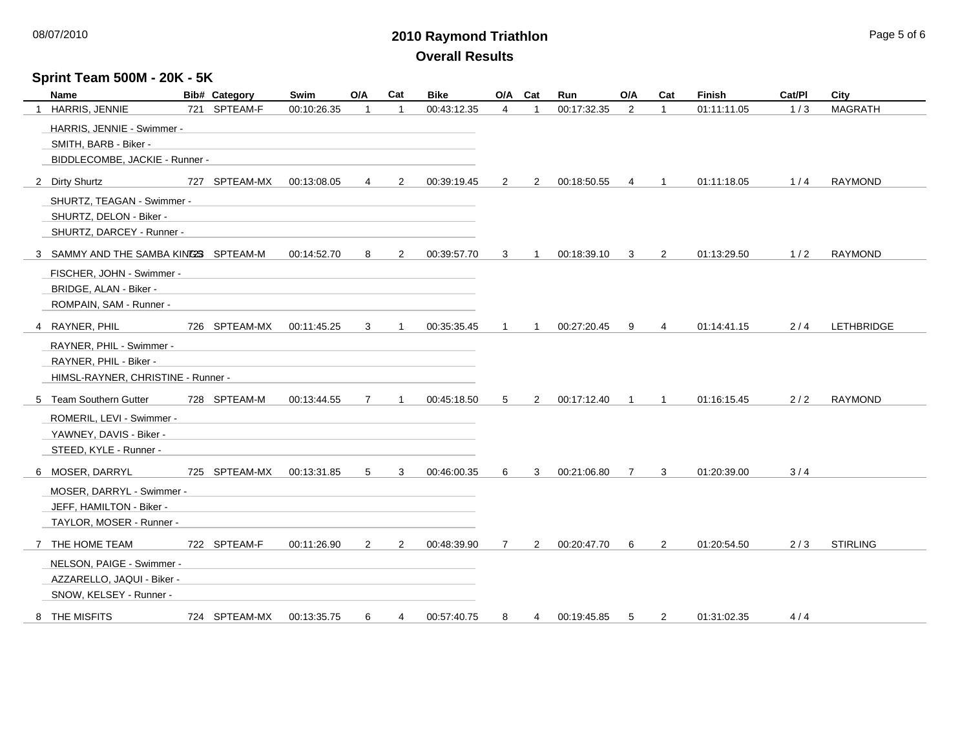## **2010 Raymond Triathlon** 08/07/2010 Page 5 of 6 **Overall Results**

## **Sprint Team 500M - 20K - 5K**

| Name                                 |  | <b>Bib# Category</b> | Swim        | O/A            | Cat            | <b>Bike</b> | O/A            | Cat            | Run         | O/A            | Cat            | Finish      | Cat/PI | City            |
|--------------------------------------|--|----------------------|-------------|----------------|----------------|-------------|----------------|----------------|-------------|----------------|----------------|-------------|--------|-----------------|
| 1 HARRIS, JENNIE                     |  | 721 SPTEAM-F         | 00:10:26.35 |                | $\overline{1}$ | 00:43:12.35 | 4              | $\overline{1}$ | 00:17:32.35 | 2              | $\mathbf{1}$   | 01:11:11.05 | 1/3    | <b>MAGRATH</b>  |
| HARRIS, JENNIE - Swimmer -           |  |                      |             |                |                |             |                |                |             |                |                |             |        |                 |
| SMITH, BARB - Biker -                |  |                      |             |                |                |             |                |                |             |                |                |             |        |                 |
| BIDDLECOMBE, JACKIE - Runner -       |  |                      |             |                |                |             |                |                |             |                |                |             |        |                 |
| 2 Dirty Shurtz                       |  | 727 SPTEAM-MX        | 00:13:08.05 | 4              | 2              | 00:39:19.45 | $\overline{2}$ | 2              | 00:18:50.55 | $\overline{4}$ | $\mathbf{1}$   | 01:11:18.05 | 1/4    | <b>RAYMOND</b>  |
| SHURTZ, TEAGAN - Swimmer -           |  |                      |             |                |                |             |                |                |             |                |                |             |        |                 |
| SHURTZ, DELON - Biker -              |  |                      |             |                |                |             |                |                |             |                |                |             |        |                 |
| SHURTZ, DARCEY - Runner -            |  |                      |             |                |                |             |                |                |             |                |                |             |        |                 |
| 3 SAMMY AND THE SAMBA KINGS SPTEAM-M |  |                      | 00:14:52.70 | 8              | 2              | 00:39:57.70 | 3              |                | 00:18:39.10 | 3              | $\overline{2}$ | 01:13:29.50 | 1/2    | <b>RAYMOND</b>  |
| FISCHER, JOHN - Swimmer -            |  |                      |             |                |                |             |                |                |             |                |                |             |        |                 |
| BRIDGE, ALAN - Biker -               |  |                      |             |                |                |             |                |                |             |                |                |             |        |                 |
| ROMPAIN, SAM - Runner -              |  |                      |             |                |                |             |                |                |             |                |                |             |        |                 |
| 4 RAYNER, PHIL                       |  | 726 SPTEAM-MX        | 00:11:45.25 | 3              | $\overline{1}$ | 00:35:35.45 | 1              | -1             | 00:27:20.45 | 9              | 4              | 01:14:41.15 | 2/4    | LETHBRIDGE      |
| RAYNER, PHIL - Swimmer -             |  |                      |             |                |                |             |                |                |             |                |                |             |        |                 |
| RAYNER, PHIL - Biker -               |  |                      |             |                |                |             |                |                |             |                |                |             |        |                 |
| HIMSL-RAYNER, CHRISTINE - Runner -   |  |                      |             |                |                |             |                |                |             |                |                |             |        |                 |
| 5 Team Southern Gutter               |  | 728 SPTEAM-M         | 00:13:44.55 | $\overline{7}$ | $\overline{1}$ | 00:45:18.50 | 5              | 2              | 00:17:12.40 | $\overline{1}$ | $\mathbf{1}$   | 01:16:15.45 | 2/2    | <b>RAYMOND</b>  |
| ROMERIL, LEVI - Swimmer -            |  |                      |             |                |                |             |                |                |             |                |                |             |        |                 |
| YAWNEY, DAVIS - Biker -              |  |                      |             |                |                |             |                |                |             |                |                |             |        |                 |
| STEED, KYLE - Runner -               |  |                      |             |                |                |             |                |                |             |                |                |             |        |                 |
| 6 MOSER, DARRYL                      |  | 725 SPTEAM-MX        | 00:13:31.85 | 5              | 3              | 00:46:00.35 | 6              | 3              | 00:21:06.80 | $\overline{7}$ | 3              | 01:20:39.00 | 3/4    |                 |
| MOSER, DARRYL - Swimmer -            |  |                      |             |                |                |             |                |                |             |                |                |             |        |                 |
| JEFF, HAMILTON - Biker -             |  |                      |             |                |                |             |                |                |             |                |                |             |        |                 |
| TAYLOR, MOSER - Runner -             |  |                      |             |                |                |             |                |                |             |                |                |             |        |                 |
| 7 THE HOME TEAM                      |  | 722 SPTEAM-F         | 00:11:26.90 | $\overline{2}$ | $\overline{2}$ | 00:48:39.90 | $\overline{7}$ | $\overline{2}$ | 00:20:47.70 | 6              | $\overline{2}$ | 01:20:54.50 | 2/3    | <b>STIRLING</b> |
| NELSON, PAIGE - Swimmer -            |  |                      |             |                |                |             |                |                |             |                |                |             |        |                 |
| AZZARELLO, JAQUI - Biker -           |  |                      |             |                |                |             |                |                |             |                |                |             |        |                 |
| SNOW, KELSEY - Runner -              |  |                      |             |                |                |             |                |                |             |                |                |             |        |                 |
| 8 THE MISFITS                        |  | 724 SPTEAM-MX        | 00:13:35.75 | 6              | 4              | 00:57:40.75 | 8              | 4              | 00:19:45.85 | 5              | 2              | 01:31:02.35 | 4/4    |                 |